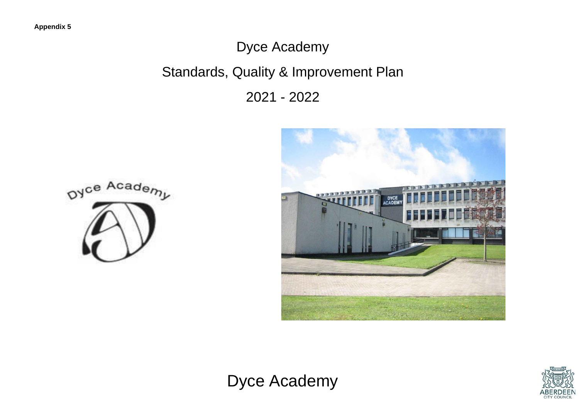# Dyce Academy

# Standards, Quality & Improvement Plan

2021 - 2022







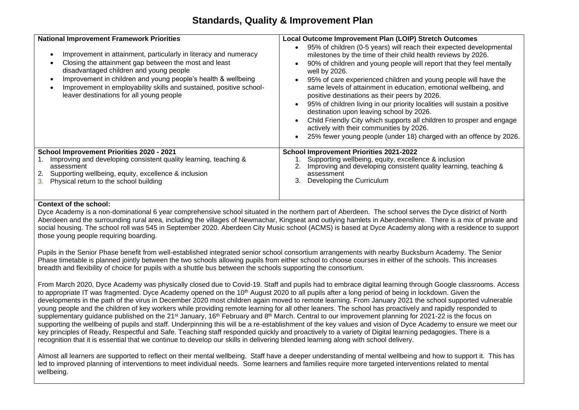#### **Standards, Quality & Improvement Plan**

| <b>National Improvement Framework Priorities</b><br>Improvement in attainment, particularly in literacy and numeracy<br>Closing the attainment gap between the most and least<br>disadvantaged children and young people<br>Improvement in children and young people's health & wellbeing<br>Improvement in employability skills and sustained, positive school-<br>leaver destinations for all young people | Local Outcome Improvement Plan (LOIP) Stretch Outcomes<br>95% of children (0-5 years) will reach their expected developmental<br>milestones by the time of their child health reviews by 2026.<br>90% of children and young people will report that they feel mentally<br>well by 2026.<br>95% of care experienced children and young people will have the<br>same levels of attainment in education, emotional wellbeing, and<br>positive destinations as their peers by 2026.<br>95% of children living in our priority localities will sustain a positive<br>destination upon leaving school by 2026.<br>Child Friendly City which supports all children to prosper and engage<br>actively with their communities by 2026.<br>25% fewer young people (under 18) charged with an offence by 2026. |
|--------------------------------------------------------------------------------------------------------------------------------------------------------------------------------------------------------------------------------------------------------------------------------------------------------------------------------------------------------------------------------------------------------------|-----------------------------------------------------------------------------------------------------------------------------------------------------------------------------------------------------------------------------------------------------------------------------------------------------------------------------------------------------------------------------------------------------------------------------------------------------------------------------------------------------------------------------------------------------------------------------------------------------------------------------------------------------------------------------------------------------------------------------------------------------------------------------------------------------|
| <b>School Improvement Priorities 2020 - 2021</b>                                                                                                                                                                                                                                                                                                                                                             | <b>School Improvement Priorities 2021-2022</b>                                                                                                                                                                                                                                                                                                                                                                                                                                                                                                                                                                                                                                                                                                                                                      |
| Improving and developing consistent quality learning, teaching &                                                                                                                                                                                                                                                                                                                                             | Supporting wellbeing, equity, excellence & inclusion                                                                                                                                                                                                                                                                                                                                                                                                                                                                                                                                                                                                                                                                                                                                                |
| assessment                                                                                                                                                                                                                                                                                                                                                                                                   | Improving and developing consistent quality learning, teaching &                                                                                                                                                                                                                                                                                                                                                                                                                                                                                                                                                                                                                                                                                                                                    |
| Supporting wellbeing, equity, excellence & inclusion                                                                                                                                                                                                                                                                                                                                                         | assessment                                                                                                                                                                                                                                                                                                                                                                                                                                                                                                                                                                                                                                                                                                                                                                                          |
| Physical return to the school building                                                                                                                                                                                                                                                                                                                                                                       | Developing the Curriculum                                                                                                                                                                                                                                                                                                                                                                                                                                                                                                                                                                                                                                                                                                                                                                           |

#### **Context of the school:**

Dyce Academy is a non-dominational 6 year comprehensive school situated in the northern part of Aberdeen. The school serves the Dyce district of North Aberdeen and the surrounding rural area, including the villages of Newmachar, Kingseat and outlying hamlets in Aberdeenshire. There is a mix of private and social housing. The school roll was 545 in September 2020. Aberdeen City Music school (ACMS) is based at Dyce Academy along with a residence to support those young people requiring boarding.

Pupils in the Senior Phase benefit from well-established integrated senior school consortium arrangements with nearby Bucksburn Academy. The Senior Phase timetable is planned jointly between the two schools allowing pupils from either school to choose courses in either of the schools. This increases breadth and flexibility of choice for pupils with a shuttle bus between the schools supporting the consortium.

From March 2020, Dyce Academy was physically closed due to Covid-19. Staff and pupils had to embrace digital learning through Google classrooms. Access to appropriate IT was fragmented. Dyce Academy opened on the 10<sup>th</sup> August 2020 to all pupils after a long period of being in lockdown. Given the developments in the path of the virus in December 2020 most children again moved to remote learning. From January 2021 the school supported vulnerable young people and the children of key workers while providing remote learning for all other leaners. The school has proactively and rapidly responded to supplementary quidance published on the 21<sup>st</sup> January, 16<sup>th</sup> February and 8<sup>th</sup> March. Central to our improvement planning for 2021-22 is the focus on supporting the wellbeing of pupils and staff. Underpinning this will be a re-establishment of the key values and vision of Dyce Academy to ensure we meet our key principles of Ready, Respectful and Safe. Teaching staff responded quickly and proactively to a variety of Digital learning pedagogies. There is a recognition that it is essential that we continue to develop our skills in delivering blended learning along with school delivery.

Almost all learners are supported to reflect on their mental wellbeing. Staff have a deeper understanding of mental wellbeing and how to support it. This has led to improved planning of interventions to meet individual needs. Some learners and families require more targeted interventions related to mental wellbeing.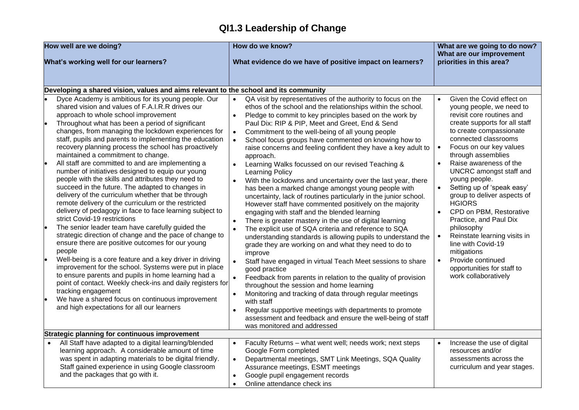## **QI1.3 Leadership of Change**

| How well are we doing? |                                                                                                                                                                                                                                                                                                                                                                                                                                                                                                                                                                                                                                                                                                                                                                                                                                                                                                                                                                                                                                                                                                                                                                                                                                                                                                | How do we know?                                                                                                                                                                                                                                                                                                                                                                                                                                                                                                                                                                                                                                                                                                                                                                                                                                                                                                                                                                                                                                                                                                                                                                                                                                                              | What are we going to do now?<br>What are our improvement                                                                                                                                                                                                                                                                                                                                                                                                                                                                                                                                                                              |  |
|------------------------|------------------------------------------------------------------------------------------------------------------------------------------------------------------------------------------------------------------------------------------------------------------------------------------------------------------------------------------------------------------------------------------------------------------------------------------------------------------------------------------------------------------------------------------------------------------------------------------------------------------------------------------------------------------------------------------------------------------------------------------------------------------------------------------------------------------------------------------------------------------------------------------------------------------------------------------------------------------------------------------------------------------------------------------------------------------------------------------------------------------------------------------------------------------------------------------------------------------------------------------------------------------------------------------------|------------------------------------------------------------------------------------------------------------------------------------------------------------------------------------------------------------------------------------------------------------------------------------------------------------------------------------------------------------------------------------------------------------------------------------------------------------------------------------------------------------------------------------------------------------------------------------------------------------------------------------------------------------------------------------------------------------------------------------------------------------------------------------------------------------------------------------------------------------------------------------------------------------------------------------------------------------------------------------------------------------------------------------------------------------------------------------------------------------------------------------------------------------------------------------------------------------------------------------------------------------------------------|---------------------------------------------------------------------------------------------------------------------------------------------------------------------------------------------------------------------------------------------------------------------------------------------------------------------------------------------------------------------------------------------------------------------------------------------------------------------------------------------------------------------------------------------------------------------------------------------------------------------------------------|--|
|                        | What's working well for our learners?                                                                                                                                                                                                                                                                                                                                                                                                                                                                                                                                                                                                                                                                                                                                                                                                                                                                                                                                                                                                                                                                                                                                                                                                                                                          | What evidence do we have of positive impact on learners?                                                                                                                                                                                                                                                                                                                                                                                                                                                                                                                                                                                                                                                                                                                                                                                                                                                                                                                                                                                                                                                                                                                                                                                                                     | priorities in this area?                                                                                                                                                                                                                                                                                                                                                                                                                                                                                                                                                                                                              |  |
|                        | Developing a shared vision, values and aims relevant to the school and its community                                                                                                                                                                                                                                                                                                                                                                                                                                                                                                                                                                                                                                                                                                                                                                                                                                                                                                                                                                                                                                                                                                                                                                                                           |                                                                                                                                                                                                                                                                                                                                                                                                                                                                                                                                                                                                                                                                                                                                                                                                                                                                                                                                                                                                                                                                                                                                                                                                                                                                              |                                                                                                                                                                                                                                                                                                                                                                                                                                                                                                                                                                                                                                       |  |
|                        | Dyce Academy is ambitious for its young people. Our<br>shared vision and values of F.A.I.R.R drives our<br>approach to whole school improvement<br>Throughout what has been a period of significant<br>changes, from managing the lockdown experiences for<br>staff, pupils and parents to implementing the education<br>recovery planning process the school has proactively<br>maintained a commitment to change.<br>All staff are committed to and are implementing a<br>number of initiatives designed to equip our young<br>people with the skills and attributes they need to<br>succeed in the future. The adapted to changes in<br>delivery of the curriculum whether that be through<br>remote delivery of the curriculum or the restricted<br>delivery of pedagogy in face to face learning subject to<br>strict Covid-19 restrictions<br>The senior leader team have carefully guided the<br>strategic direction of change and the pace of change to<br>ensure there are positive outcomes for our young<br>people<br>Well-being is a core feature and a key driver in driving<br>improvement for the school. Systems were put in place<br>to ensure parents and pupils in home learning had a<br>point of contact. Weekly check-ins and daily registers for<br>tracking engagement | QA visit by representatives of the authority to focus on the<br>ethos of the school and the relationships within the school.<br>Pledge to commit to key principles based on the work by<br>Paul Dix: RIP & PIP, Meet and Greet, End & Send<br>Commitment to the well-being of all young people<br>School focus groups have commented on knowing how to<br>raise concerns and feeling confident they have a key adult to<br>approach.<br>Learning Walks focussed on our revised Teaching &<br><b>Learning Policy</b><br>With the lockdowns and uncertainty over the last year, there<br>has been a marked change amongst young people with<br>uncertainty, lack of routines particularly in the junior school.<br>However staff have commented positively on the majority<br>engaging with staff and the blended learning<br>There is greater mastery in the use of digital learning<br>The explicit use of SQA criteria and reference to SQA<br>understanding standards is allowing pupils to understand the<br>grade they are working on and what they need to do to<br>improve<br>Staff have engaged in virtual Teach Meet sessions to share<br>good practice<br>Feedback from parents in relation to the quality of provision<br>throughout the session and home learning | Given the Covid effect on<br>$\bullet$<br>young people, we need to<br>revisit core routines and<br>create supports for all staff<br>to create compassionate<br>connected classrooms<br>Focus on our key values<br>$\bullet$<br>through assemblies<br>Raise awareness of the<br>UNCRC amongst staff and<br>young people.<br>Setting up of 'speak easy'<br>group to deliver aspects of<br><b>HGIORS</b><br>CPD on PBM, Restorative<br>Practice, and Paul Dix<br>philosophy<br>Reinstate learning visits in<br>$\bullet$<br>line with Covid-19<br>mitigations<br>Provide continued<br>opportunities for staff to<br>work collaboratively |  |
|                        | We have a shared focus on continuous improvement<br>and high expectations for all our learners<br>Strategic planning for continuous improvement                                                                                                                                                                                                                                                                                                                                                                                                                                                                                                                                                                                                                                                                                                                                                                                                                                                                                                                                                                                                                                                                                                                                                | Monitoring and tracking of data through regular meetings<br>with staff<br>Regular supportive meetings with departments to promote<br>assessment and feedback and ensure the well-being of staff<br>was monitored and addressed                                                                                                                                                                                                                                                                                                                                                                                                                                                                                                                                                                                                                                                                                                                                                                                                                                                                                                                                                                                                                                               |                                                                                                                                                                                                                                                                                                                                                                                                                                                                                                                                                                                                                                       |  |
|                        | All Staff have adapted to a digital learning/blended                                                                                                                                                                                                                                                                                                                                                                                                                                                                                                                                                                                                                                                                                                                                                                                                                                                                                                                                                                                                                                                                                                                                                                                                                                           | Faculty Returns - what went well; needs work; next steps                                                                                                                                                                                                                                                                                                                                                                                                                                                                                                                                                                                                                                                                                                                                                                                                                                                                                                                                                                                                                                                                                                                                                                                                                     | Increase the use of digital                                                                                                                                                                                                                                                                                                                                                                                                                                                                                                                                                                                                           |  |
|                        | learning approach. A considerable amount of time                                                                                                                                                                                                                                                                                                                                                                                                                                                                                                                                                                                                                                                                                                                                                                                                                                                                                                                                                                                                                                                                                                                                                                                                                                               | Google Form completed                                                                                                                                                                                                                                                                                                                                                                                                                                                                                                                                                                                                                                                                                                                                                                                                                                                                                                                                                                                                                                                                                                                                                                                                                                                        | resources and/or                                                                                                                                                                                                                                                                                                                                                                                                                                                                                                                                                                                                                      |  |
|                        | was spent in adapting materials to be digital friendly.                                                                                                                                                                                                                                                                                                                                                                                                                                                                                                                                                                                                                                                                                                                                                                                                                                                                                                                                                                                                                                                                                                                                                                                                                                        | Departmental meetings, SMT Link Meetings, SQA Quality                                                                                                                                                                                                                                                                                                                                                                                                                                                                                                                                                                                                                                                                                                                                                                                                                                                                                                                                                                                                                                                                                                                                                                                                                        | assessments across the                                                                                                                                                                                                                                                                                                                                                                                                                                                                                                                                                                                                                |  |
|                        | Staff gained experience in using Google classroom                                                                                                                                                                                                                                                                                                                                                                                                                                                                                                                                                                                                                                                                                                                                                                                                                                                                                                                                                                                                                                                                                                                                                                                                                                              | Assurance meetings, ESMT meetings                                                                                                                                                                                                                                                                                                                                                                                                                                                                                                                                                                                                                                                                                                                                                                                                                                                                                                                                                                                                                                                                                                                                                                                                                                            | curriculum and year stages.                                                                                                                                                                                                                                                                                                                                                                                                                                                                                                                                                                                                           |  |
|                        | and the packages that go with it.                                                                                                                                                                                                                                                                                                                                                                                                                                                                                                                                                                                                                                                                                                                                                                                                                                                                                                                                                                                                                                                                                                                                                                                                                                                              | Google pupil engagement records                                                                                                                                                                                                                                                                                                                                                                                                                                                                                                                                                                                                                                                                                                                                                                                                                                                                                                                                                                                                                                                                                                                                                                                                                                              |                                                                                                                                                                                                                                                                                                                                                                                                                                                                                                                                                                                                                                       |  |
|                        |                                                                                                                                                                                                                                                                                                                                                                                                                                                                                                                                                                                                                                                                                                                                                                                                                                                                                                                                                                                                                                                                                                                                                                                                                                                                                                | Online attendance check ins                                                                                                                                                                                                                                                                                                                                                                                                                                                                                                                                                                                                                                                                                                                                                                                                                                                                                                                                                                                                                                                                                                                                                                                                                                                  |                                                                                                                                                                                                                                                                                                                                                                                                                                                                                                                                                                                                                                       |  |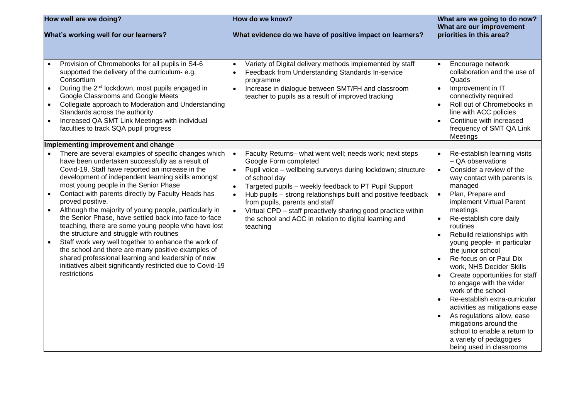| How well are we doing?                                                                                                                                                                                                                                                                                                                                                                                                                                                                                                                                                                                                                                                                                                                                                                                                                                | How do we know?                                                                                                                                                                                                                                                                                                                                                                                                                                                                                                                     | What are we going to do now?<br>What are our improvement                                                                                                                                                                                                                                                                                                                                                                                                                                                                                                                                                                                                                                                                       |  |
|-------------------------------------------------------------------------------------------------------------------------------------------------------------------------------------------------------------------------------------------------------------------------------------------------------------------------------------------------------------------------------------------------------------------------------------------------------------------------------------------------------------------------------------------------------------------------------------------------------------------------------------------------------------------------------------------------------------------------------------------------------------------------------------------------------------------------------------------------------|-------------------------------------------------------------------------------------------------------------------------------------------------------------------------------------------------------------------------------------------------------------------------------------------------------------------------------------------------------------------------------------------------------------------------------------------------------------------------------------------------------------------------------------|--------------------------------------------------------------------------------------------------------------------------------------------------------------------------------------------------------------------------------------------------------------------------------------------------------------------------------------------------------------------------------------------------------------------------------------------------------------------------------------------------------------------------------------------------------------------------------------------------------------------------------------------------------------------------------------------------------------------------------|--|
| What's working well for our learners?                                                                                                                                                                                                                                                                                                                                                                                                                                                                                                                                                                                                                                                                                                                                                                                                                 | What evidence do we have of positive impact on learners?                                                                                                                                                                                                                                                                                                                                                                                                                                                                            | priorities in this area?                                                                                                                                                                                                                                                                                                                                                                                                                                                                                                                                                                                                                                                                                                       |  |
| Provision of Chromebooks for all pupils in S4-6<br>supported the delivery of the curriculum- e.g.<br>Consortium<br>During the 2 <sup>nd</sup> lockdown, most pupils engaged in<br>$\bullet$<br>Google Classrooms and Google Meets<br>Collegiate approach to Moderation and Understanding<br>Standards across the authority<br>Increased QA SMT Link Meetings with individual<br>faculties to track SQA pupil progress                                                                                                                                                                                                                                                                                                                                                                                                                                 | Variety of Digital delivery methods implemented by staff<br>$\bullet$<br>Feedback from Understanding Standards In-service<br>$\bullet$<br>programme<br>Increase in dialogue between SMT/FH and classroom<br>$\bullet$<br>teacher to pupils as a result of improved tracking                                                                                                                                                                                                                                                         | Encourage network<br>collaboration and the use of<br>Quads<br>Improvement in IT<br>$\bullet$<br>connectivity required<br>Roll out of Chromebooks in<br>$\bullet$<br>line with ACC policies<br>Continue with increased<br>$\bullet$<br>frequency of SMT QA Link<br>Meetings                                                                                                                                                                                                                                                                                                                                                                                                                                                     |  |
| Implementing improvement and change                                                                                                                                                                                                                                                                                                                                                                                                                                                                                                                                                                                                                                                                                                                                                                                                                   |                                                                                                                                                                                                                                                                                                                                                                                                                                                                                                                                     |                                                                                                                                                                                                                                                                                                                                                                                                                                                                                                                                                                                                                                                                                                                                |  |
| There are several examples of specific changes which<br>have been undertaken successfully as a result of<br>Covid-19. Staff have reported an increase in the<br>development of independent learning skills amongst<br>most young people in the Senior Phase<br>Contact with parents directly by Faculty Heads has<br>$\bullet$<br>proved positive.<br>Although the majority of young people, particularly in<br>$\bullet$<br>the Senior Phase, have settled back into face-to-face<br>teaching, there are some young people who have lost<br>the structure and struggle with routines<br>Staff work very well together to enhance the work of<br>$\bullet$<br>the school and there are many positive examples of<br>shared professional learning and leadership of new<br>initiatives albeit significantly restricted due to Covid-19<br>restrictions | Faculty Returns- what went well; needs work; next steps<br>$\bullet$<br>Google Form completed<br>Pupil voice - wellbeing surverys during lockdown; structure<br>$\bullet$<br>of school day<br>Targeted pupils - weekly feedback to PT Pupil Support<br>$\bullet$<br>Hub pupils - strong relationships built and positive feedback<br>$\bullet$<br>from pupils, parents and staff<br>Virtual CPD - staff proactively sharing good practice within<br>$\bullet$<br>the school and ACC in relation to digital learning and<br>teaching | Re-establish learning visits<br>$\bullet$<br>- QA observations<br>Consider a review of the<br>$\bullet$<br>way contact with parents is<br>managed<br>Plan, Prepare and<br>implement Virtual Parent<br>meetings<br>Re-establish core daily<br>$\bullet$<br>routines<br>Rebuild relationships with<br>$\bullet$<br>young people- in particular<br>the junior school<br>Re-focus on or Paul Dix<br>work, NHS Decider Skills<br>Create opportunities for staff<br>to engage with the wider<br>work of the school<br>Re-establish extra-curricular<br>activities as mitigations ease<br>As regulations allow, ease<br>mitigations around the<br>school to enable a return to<br>a variety of pedagogies<br>being used in classrooms |  |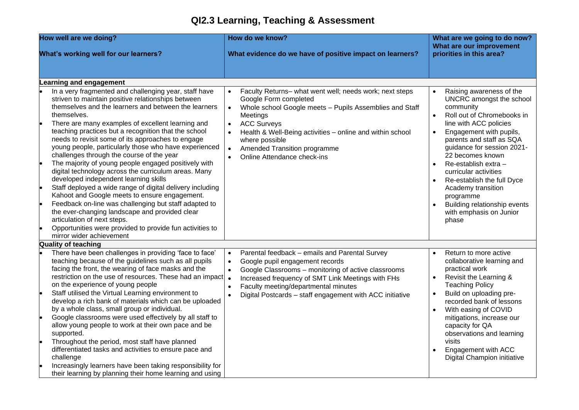## **QI2.3 Learning, Teaching & Assessment**

| How well are we doing?                                                                                                                                                                                                                                                                                                                                                                                                                                                                                                                                                                                                                                                                                                                                                                                                                                                                                                                                              | How do we know?                                                                                                                                                                                                                                                                                                                                                                                           | What are we going to do now?<br>What are our improvement                                                                                                                                                                                                                                                                                                                                                                 |  |
|---------------------------------------------------------------------------------------------------------------------------------------------------------------------------------------------------------------------------------------------------------------------------------------------------------------------------------------------------------------------------------------------------------------------------------------------------------------------------------------------------------------------------------------------------------------------------------------------------------------------------------------------------------------------------------------------------------------------------------------------------------------------------------------------------------------------------------------------------------------------------------------------------------------------------------------------------------------------|-----------------------------------------------------------------------------------------------------------------------------------------------------------------------------------------------------------------------------------------------------------------------------------------------------------------------------------------------------------------------------------------------------------|--------------------------------------------------------------------------------------------------------------------------------------------------------------------------------------------------------------------------------------------------------------------------------------------------------------------------------------------------------------------------------------------------------------------------|--|
| What's working well for our learners?                                                                                                                                                                                                                                                                                                                                                                                                                                                                                                                                                                                                                                                                                                                                                                                                                                                                                                                               | What evidence do we have of positive impact on learners?                                                                                                                                                                                                                                                                                                                                                  | priorities in this area?                                                                                                                                                                                                                                                                                                                                                                                                 |  |
| <b>Learning and engagement</b>                                                                                                                                                                                                                                                                                                                                                                                                                                                                                                                                                                                                                                                                                                                                                                                                                                                                                                                                      |                                                                                                                                                                                                                                                                                                                                                                                                           |                                                                                                                                                                                                                                                                                                                                                                                                                          |  |
| In a very fragmented and challenging year, staff have<br>striven to maintain positive relationships between<br>themselves and the learners and between the learners<br>themselves.<br>There are many examples of excellent learning and<br>teaching practices but a recognition that the school<br>needs to revisit some of its approaches to engage<br>young people, particularly those who have experienced<br>challenges through the course of the year<br>The majority of young people engaged positively with<br>digital technology across the curriculum areas. Many<br>developed independent learning skills<br>Staff deployed a wide range of digital delivery including<br>Kahoot and Google meets to ensure engagement.<br>Feedback on-line was challenging but staff adapted to<br>the ever-changing landscape and provided clear<br>articulation of next steps.<br>Opportunities were provided to provide fun activities to<br>mirror wider achievement | Faculty Returns- what went well; needs work; next steps<br>$\bullet$<br>Google Form completed<br>Whole school Google meets - Pupils Assemblies and Staff<br>$\bullet$<br>Meetings<br><b>ACC Surveys</b><br>$\bullet$<br>Health & Well-Being activities - online and within school<br>$\bullet$<br>where possible<br>Amended Transition programme<br>$\bullet$<br>Online Attendance check-ins<br>$\bullet$ | Raising awareness of the<br>UNCRC amongst the school<br>community<br>Roll out of Chromebooks in<br>line with ACC policies<br>Engagement with pupils,<br>parents and staff as SQA<br>guidance for session 2021-<br>22 becomes known<br>Re-establish extra -<br>curricular activities<br>Re-establish the full Dyce<br>Academy transition<br>programme<br>Building relationship events<br>with emphasis on Junior<br>phase |  |
| <b>Quality of teaching</b>                                                                                                                                                                                                                                                                                                                                                                                                                                                                                                                                                                                                                                                                                                                                                                                                                                                                                                                                          |                                                                                                                                                                                                                                                                                                                                                                                                           |                                                                                                                                                                                                                                                                                                                                                                                                                          |  |
| There have been challenges in providing 'face to face'<br>teaching because of the guidelines such as all pupils<br>facing the front, the wearing of face masks and the<br>restriction on the use of resources. These had an impact<br>on the experience of young people<br>Staff utilised the Virtual Learning environment to<br>develop a rich bank of materials which can be uploaded<br>by a whole class, small group or individual.<br>Google classrooms were used effectively by all staff to<br>allow young people to work at their own pace and be<br>supported.<br>Throughout the period, most staff have planned<br>differentiated tasks and activities to ensure pace and<br>challenge<br>Increasingly learners have been taking responsibility for<br>their learning by planning their home learning and using                                                                                                                                           | Parental feedback - emails and Parental Survey<br>$\bullet$<br>Google pupil engagement records<br>$\bullet$<br>Google Classrooms - monitoring of active classrooms<br>$\bullet$<br>Increased frequency of SMT Link Meetings with FHs<br>$\bullet$<br>Faculty meeting/departmental minutes<br>$\bullet$<br>Digital Postcards - staff engagement with ACC initiative<br>$\bullet$                           | Return to more active<br>collaborative learning and<br>practical work<br>Revisit the Learning &<br><b>Teaching Policy</b><br>Build on uploading pre-<br>recorded bank of lessons<br>With easing of COVID<br>$\bullet$<br>mitigations, increase our<br>capacity for QA<br>observations and learning<br>visits<br>Engagement with ACC<br>Digital Champion initiative                                                       |  |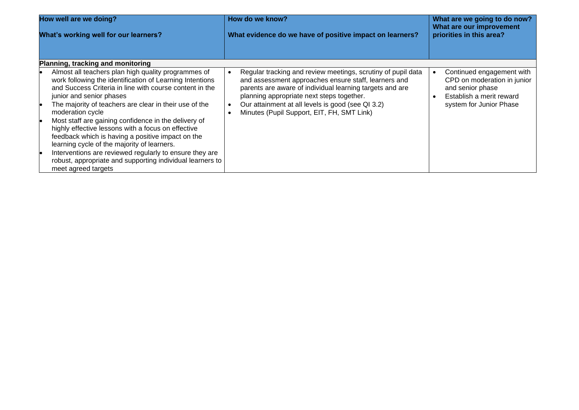| How well are we doing?                                                                                                                                                                                                                                                                                                                                                                                                                                                                                                                                                                                                                                | How do we know?                                                                                                                                                                                                                                                                                                                  | What are we going to do now?                                                                                                        |  |
|-------------------------------------------------------------------------------------------------------------------------------------------------------------------------------------------------------------------------------------------------------------------------------------------------------------------------------------------------------------------------------------------------------------------------------------------------------------------------------------------------------------------------------------------------------------------------------------------------------------------------------------------------------|----------------------------------------------------------------------------------------------------------------------------------------------------------------------------------------------------------------------------------------------------------------------------------------------------------------------------------|-------------------------------------------------------------------------------------------------------------------------------------|--|
| What's working well for our learners?                                                                                                                                                                                                                                                                                                                                                                                                                                                                                                                                                                                                                 | What evidence do we have of positive impact on learners?                                                                                                                                                                                                                                                                         | What are our improvement<br>priorities in this area?                                                                                |  |
| Planning, tracking and monitoring                                                                                                                                                                                                                                                                                                                                                                                                                                                                                                                                                                                                                     |                                                                                                                                                                                                                                                                                                                                  |                                                                                                                                     |  |
| Almost all teachers plan high quality programmes of<br>work following the identification of Learning Intentions<br>and Success Criteria in line with course content in the<br>junior and senior phases<br>The majority of teachers are clear in their use of the<br>moderation cycle<br>Most staff are gaining confidence in the delivery of<br>highly effective lessons with a focus on effective<br>feedback which is having a positive impact on the<br>learning cycle of the majority of learners.<br>Interventions are reviewed regularly to ensure they are<br>robust, appropriate and supporting individual learners to<br>meet agreed targets | Regular tracking and review meetings, scrutiny of pupil data<br>and assessment approaches ensure staff, learners and<br>parents are aware of individual learning targets and are<br>planning appropriate next steps together.<br>Our attainment at all levels is good (see QI 3.2)<br>Minutes (Pupil Support, EIT, FH, SMT Link) | Continued engagement with<br>CPD on moderation in junior<br>and senior phase<br>Establish a merit reward<br>system for Junior Phase |  |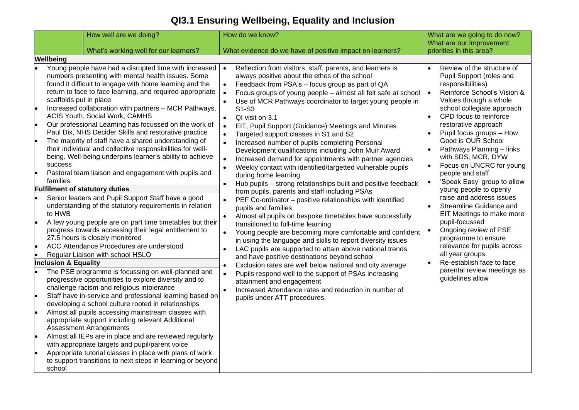## **QI3.1 Ensuring Wellbeing, Equality and Inclusion**

|                                                                            | How well are we doing?                                                                                                                                                                                                                                                                                                                                                                                                                                                                                                                                                                                                                                                                                                                                                                                                                                                                                                                                                                                                                                                                                                                                                                                                                                                                                                                                                                                                                                                                                                                                                                                                                                                                                                                                                                       | How do we know?                                                                                                                                                                                                                                                                                                                                                                                                                                                                                                                                                                                                                                                                                                                                                                                                                                                                                                                                                                                                                                                                                                                                                                                                                                                                                                                                                                                                                                                                                                                                                                                                                                                                              | What are we going to do now?<br>What are our improvement                                                                                                                                                                                                                                                                                                                                                                                                                                                                                                                                                                                                                                                                                                                       |
|----------------------------------------------------------------------------|----------------------------------------------------------------------------------------------------------------------------------------------------------------------------------------------------------------------------------------------------------------------------------------------------------------------------------------------------------------------------------------------------------------------------------------------------------------------------------------------------------------------------------------------------------------------------------------------------------------------------------------------------------------------------------------------------------------------------------------------------------------------------------------------------------------------------------------------------------------------------------------------------------------------------------------------------------------------------------------------------------------------------------------------------------------------------------------------------------------------------------------------------------------------------------------------------------------------------------------------------------------------------------------------------------------------------------------------------------------------------------------------------------------------------------------------------------------------------------------------------------------------------------------------------------------------------------------------------------------------------------------------------------------------------------------------------------------------------------------------------------------------------------------------|----------------------------------------------------------------------------------------------------------------------------------------------------------------------------------------------------------------------------------------------------------------------------------------------------------------------------------------------------------------------------------------------------------------------------------------------------------------------------------------------------------------------------------------------------------------------------------------------------------------------------------------------------------------------------------------------------------------------------------------------------------------------------------------------------------------------------------------------------------------------------------------------------------------------------------------------------------------------------------------------------------------------------------------------------------------------------------------------------------------------------------------------------------------------------------------------------------------------------------------------------------------------------------------------------------------------------------------------------------------------------------------------------------------------------------------------------------------------------------------------------------------------------------------------------------------------------------------------------------------------------------------------------------------------------------------------|--------------------------------------------------------------------------------------------------------------------------------------------------------------------------------------------------------------------------------------------------------------------------------------------------------------------------------------------------------------------------------------------------------------------------------------------------------------------------------------------------------------------------------------------------------------------------------------------------------------------------------------------------------------------------------------------------------------------------------------------------------------------------------|
|                                                                            | What's working well for our learners?                                                                                                                                                                                                                                                                                                                                                                                                                                                                                                                                                                                                                                                                                                                                                                                                                                                                                                                                                                                                                                                                                                                                                                                                                                                                                                                                                                                                                                                                                                                                                                                                                                                                                                                                                        | What evidence do we have of positive impact on learners?                                                                                                                                                                                                                                                                                                                                                                                                                                                                                                                                                                                                                                                                                                                                                                                                                                                                                                                                                                                                                                                                                                                                                                                                                                                                                                                                                                                                                                                                                                                                                                                                                                     | priorities in this area?                                                                                                                                                                                                                                                                                                                                                                                                                                                                                                                                                                                                                                                                                                                                                       |
| Wellbeing                                                                  |                                                                                                                                                                                                                                                                                                                                                                                                                                                                                                                                                                                                                                                                                                                                                                                                                                                                                                                                                                                                                                                                                                                                                                                                                                                                                                                                                                                                                                                                                                                                                                                                                                                                                                                                                                                              |                                                                                                                                                                                                                                                                                                                                                                                                                                                                                                                                                                                                                                                                                                                                                                                                                                                                                                                                                                                                                                                                                                                                                                                                                                                                                                                                                                                                                                                                                                                                                                                                                                                                                              |                                                                                                                                                                                                                                                                                                                                                                                                                                                                                                                                                                                                                                                                                                                                                                                |
| success<br>families<br>to HWB<br><b>Inclusion &amp; Equality</b><br>school | Young people have had a disrupted time with increased<br>numbers presenting with mental health issues. Some<br>found it difficult to engage with home learning and the<br>return to face to face learning, and required appropriate<br>scaffolds put in place<br>Increased collaboration with partners - MCR Pathways,<br>ACIS Youth, Social Work, CAMHS<br>Our professional Learning has focussed on the work of<br>Paul Dix, NHS Decider Skills and restorative practice<br>The majority of staff have a shared understanding of<br>their individual and collective responsibilities for well-<br>being. Well-being underpins learner's ability to achieve<br>Pastoral team liaison and engagement with pupils and<br><b>Fulfilment of statutory duties</b><br>Senior leaders and Pupil Support Staff have a good<br>understanding of the statutory requirements in relation<br>A few young people are on part time timetables but their<br>progress towards accessing their legal entitlement to<br>27.5 hours is closely monitored<br>ACC Attendance Procedures are understood<br>Regular Liaison with school HSLO<br>The PSE programme is focussing on well-planned and<br>progressive opportunities to explore diversity and to<br>challenge racism and religious intolerance<br>Staff have in-service and professional learning based on<br>developing a school culture rooted in relationships<br>Almost all pupils accessing mainstream classes with<br>appropriate support including relevant Additional<br><b>Assessment Arrangements</b><br>Almost all IEPs are in place and are reviewed regularly<br>with appropriate targets and pupil/parent voice<br>Appropriate tutorial classes in place with plans of work<br>to support transitions to next steps in learning or beyond | Reflection from visitors, staff, parents, and learners is<br>always positive about the ethos of the school<br>Feedback from PSA's - focus group as part of QA<br>$\bullet$<br>Focus groups of young people - almost all felt safe at school<br>$\bullet$<br>Use of MCR Pathways coordinator to target young people in<br>$\bullet$<br>S1-S3<br>QI visit on 3.1<br>$\bullet$<br>EIT, Pupil Support (Guidance) Meetings and Minutes<br>$\bullet$<br>Targeted support classes in S1 and S2<br>$\bullet$<br>$\bullet$<br>Increased number of pupils completing Personal<br>Development qualifications including John Muir Award<br>Increased demand for appointments with partner agencies<br>$\bullet$<br>Weekly contact with identified/targetted vulnerable pupils<br>$\bullet$<br>during home learning<br>Hub pupils - strong relationships built and positive feedback<br>$\bullet$<br>from pupils, parents and staff including PSAs<br>PEF Co-ordinator - positive relationships with identified<br>pupils and families<br>Almost all pupils on bespoke timetables have successfully<br>$\bullet$<br>transitioned to full-time learning<br>Young people are becoming more comfortable and confident<br>$\bullet$<br>in using the language and skills to report diversity issues<br>$\bullet$<br>LAC pupils are supported to attain above national trends<br>and have positive destinations beyond school<br>Exclusion rates are well below national and city average<br>$\bullet$<br>Pupils respond well to the support of PSAs increasing<br>$\bullet$<br>attainment and engagement<br>Increased Attendance rates and reduction in number of<br>$\bullet$<br>pupils under ATT procedures. | Review of the structure of<br>$\bullet$<br>Pupil Support (roles and<br>responsibilities)<br>Reinforce School's Vision &<br>Values through a whole<br>school collegiate approach<br>CPD focus to reinforce<br>restorative approach<br>Pupil focus groups - How<br>Good is OUR School<br>Pathways Planning - links<br>with SDS, MCR, DYW<br>Focus on UNCRC for young<br>people and staff<br>'Speak Easy' group to allow<br>$\bullet$<br>young people to openly<br>raise and address issues<br>Streamline Guidance and<br>$\bullet$<br>EIT Meetings to make more<br>pupil-focussed<br>Ongoing review of PSE<br>$\bullet$<br>programme to ensure<br>relevance for pupils across<br>all year groups<br>Re-establish face to face<br>parental review meetings as<br>guidelines allow |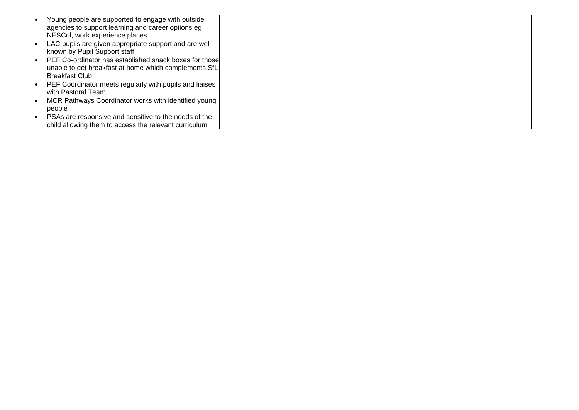| Young people are supported to engage with outside       |
|---------------------------------------------------------|
| agencies to support learning and career options eg      |
| NESCol, work experience places                          |
| LAC pupils are given appropriate support and are well   |
|                                                         |
| known by Pupil Support staff                            |
| PEF Co-ordinator has established snack boxes for those  |
| unable to get breakfast at home which complements SfL   |
| <b>Breakfast Club</b>                                   |
|                                                         |
| PEF Coordinator meets regularly with pupils and liaises |
| with Pastoral Team                                      |
| MCR Pathways Coordinator works with identified young    |
| people                                                  |
|                                                         |
| PSAs are responsive and sensitive to the needs of the   |
| child allowing them to access the relevant curriculum   |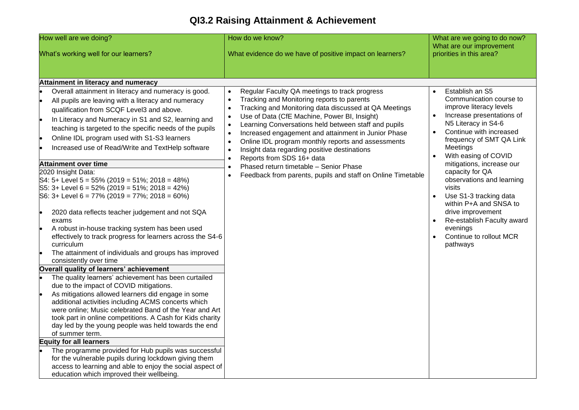## **QI3.2 Raising Attainment & Achievement**

| How well are we doing?                                                                                                                                                                                                                                                                                                                                                                                                                                                                                                                                                                                                                                                                                                                                                                                                                                                                                                                                                                                                                                                                              | How do we know?                                                                                                                                                                                                                                                                                                                                                                                                                                                                                                                                                                                                                                            | What are we going to do now?                                                                                                                                                                                                                                                                                                                                                                                                                                                                    |
|-----------------------------------------------------------------------------------------------------------------------------------------------------------------------------------------------------------------------------------------------------------------------------------------------------------------------------------------------------------------------------------------------------------------------------------------------------------------------------------------------------------------------------------------------------------------------------------------------------------------------------------------------------------------------------------------------------------------------------------------------------------------------------------------------------------------------------------------------------------------------------------------------------------------------------------------------------------------------------------------------------------------------------------------------------------------------------------------------------|------------------------------------------------------------------------------------------------------------------------------------------------------------------------------------------------------------------------------------------------------------------------------------------------------------------------------------------------------------------------------------------------------------------------------------------------------------------------------------------------------------------------------------------------------------------------------------------------------------------------------------------------------------|-------------------------------------------------------------------------------------------------------------------------------------------------------------------------------------------------------------------------------------------------------------------------------------------------------------------------------------------------------------------------------------------------------------------------------------------------------------------------------------------------|
| What's working well for our learners?                                                                                                                                                                                                                                                                                                                                                                                                                                                                                                                                                                                                                                                                                                                                                                                                                                                                                                                                                                                                                                                               | What evidence do we have of positive impact on learners?                                                                                                                                                                                                                                                                                                                                                                                                                                                                                                                                                                                                   | What are our improvement<br>priorities in this area?                                                                                                                                                                                                                                                                                                                                                                                                                                            |
| Attainment in literacy and numeracy                                                                                                                                                                                                                                                                                                                                                                                                                                                                                                                                                                                                                                                                                                                                                                                                                                                                                                                                                                                                                                                                 |                                                                                                                                                                                                                                                                                                                                                                                                                                                                                                                                                                                                                                                            |                                                                                                                                                                                                                                                                                                                                                                                                                                                                                                 |
| Overall attainment in literacy and numeracy is good.<br>All pupils are leaving with a literacy and numeracy<br>le<br>qualification from SCQF Level3 and above.<br>In Literacy and Numeracy in S1 and S2, learning and<br>teaching is targeted to the specific needs of the pupils<br>Online IDL program used with S1-S3 learners<br>Increased use of Read/Write and TextHelp software<br><b>Attainment over time</b><br>2020 Insight Data:<br>S4: 5+ Level 5 = 55% (2019 = 51%; 2018 = 48%)<br>S5: 3+ Level 6 = 52% (2019 = 51%; 2018 = 42%)<br>S6: 3+ Level 6 = 77% (2019 = 77%; 2018 = 60%)<br>2020 data reflects teacher judgement and not SQA<br>۱.<br>exams<br>A robust in-house tracking system has been used<br>۱.<br>effectively to track progress for learners across the S4-6<br>curriculum<br>I۰<br>The attainment of individuals and groups has improved<br>consistently over time<br>Overall quality of learners' achievement<br>The quality learners' achievement has been curtailed<br>due to the impact of COVID mitigations.<br>As mitigations allowed learners did engage in some | Regular Faculty QA meetings to track progress<br>Tracking and Monitoring reports to parents<br>Tracking and Monitoring data discussed at QA Meetings<br>$\bullet$<br>Use of Data (CfE Machine, Power BI, Insight)<br>$\bullet$<br>Learning Conversations held between staff and pupils<br>$\bullet$<br>Increased engagement and attainment in Junior Phase<br>$\bullet$<br>Online IDL program monthly reports and assessments<br>$\bullet$<br>Insight data regarding positive destinations<br>$\bullet$<br>Reports from SDS 16+ data<br>Phased return timetable - Senior Phase<br>$\bullet$<br>Feedback from parents, pupils and staff on Online Timetable | Establish an S5<br>$\bullet$<br>Communication course to<br>improve literacy levels<br>Increase presentations of<br>N5 Literacy in S4-6<br>Continue with increased<br>frequency of SMT QA Link<br>Meetings<br>With easing of COVID<br>mitigations, increase our<br>capacity for QA<br>observations and learning<br>visits<br>Use S1-3 tracking data<br>$\bullet$<br>within P+A and SNSA to<br>drive improvement<br>Re-establish Faculty award<br>evenings<br>Continue to rollout MCR<br>pathways |
| additional activities including ACMS concerts which<br>were online; Music celebrated Band of the Year and Art<br>took part in online competitions. A Cash for Kids charity<br>day led by the young people was held towards the end<br>of summer term.<br><b>Equity for all learners</b><br>The programme provided for Hub pupils was successful<br>for the vulnerable pupils during lockdown giving them<br>access to learning and able to enjoy the social aspect of<br>education which improved their wellbeing.                                                                                                                                                                                                                                                                                                                                                                                                                                                                                                                                                                                  |                                                                                                                                                                                                                                                                                                                                                                                                                                                                                                                                                                                                                                                            |                                                                                                                                                                                                                                                                                                                                                                                                                                                                                                 |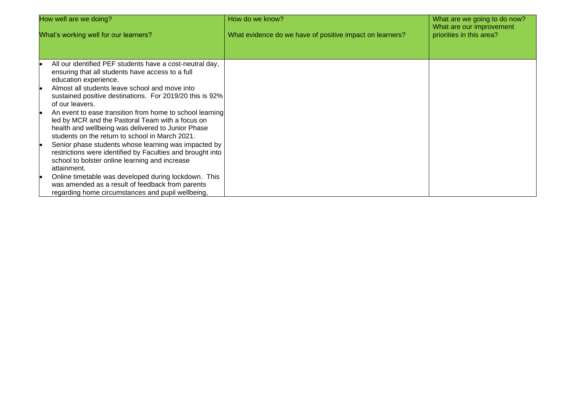| How well are we doing?                                                                                                                                                                                                | How do we know?                                          | What are we going to do now?                         |
|-----------------------------------------------------------------------------------------------------------------------------------------------------------------------------------------------------------------------|----------------------------------------------------------|------------------------------------------------------|
| What's working well for our learners?                                                                                                                                                                                 | What evidence do we have of positive impact on learners? | What are our improvement<br>priorities in this area? |
| All our identified PEF students have a cost-neutral day,<br>ensuring that all students have access to a full<br>education experience.                                                                                 |                                                          |                                                      |
| Almost all students leave school and move into<br>sustained positive destinations. For 2019/20 this is 92%<br>of our leavers.                                                                                         |                                                          |                                                      |
| An event to ease transition from home to school learning<br>led by MCR and the Pastoral Team with a focus on<br>health and wellbeing was delivered to Junior Phase<br>students on the return to school in March 2021. |                                                          |                                                      |
| Senior phase students whose learning was impacted by<br>restrictions were identified by Faculties and brought into<br>school to bolster online learning and increase<br>attainment.                                   |                                                          |                                                      |
| Online timetable was developed during lockdown. This<br>was amended as a result of feedback from parents<br>regarding home circumstances and pupil wellbeing,                                                         |                                                          |                                                      |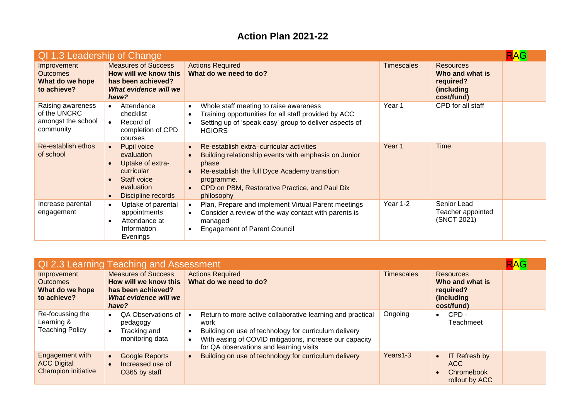#### **Action Plan 2021-22**

| QI 1.3 Leadership of Change                                          |                                                                                                                             |                                                                                                                                                                                                                                          |                   |                                                                              |  |
|----------------------------------------------------------------------|-----------------------------------------------------------------------------------------------------------------------------|------------------------------------------------------------------------------------------------------------------------------------------------------------------------------------------------------------------------------------------|-------------------|------------------------------------------------------------------------------|--|
| Improvement<br><b>Outcomes</b><br>What do we hope<br>to achieve?     | <b>Measures of Success</b><br>How will we know this<br>has been achieved?<br>What evidence will we<br>have?                 | <b>Actions Required</b><br>What do we need to do?                                                                                                                                                                                        | <b>Timescales</b> | <b>Resources</b><br>Who and what is<br>required?<br>(including<br>cost/fund) |  |
| Raising awareness<br>of the UNCRC<br>amongst the school<br>community | Attendance<br>$\bullet$<br>checklist<br>Record of<br>$\bullet$<br>completion of CPD<br>courses                              | Whole staff meeting to raise awareness<br>$\bullet$<br>Training opportunities for all staff provided by ACC<br>Setting up of 'speak easy' group to deliver aspects of<br><b>HGIORS</b>                                                   | Year 1            | CPD for all staff                                                            |  |
| Re-establish ethos<br>of school                                      | Pupil voice<br>evaluation<br>Uptake of extra-<br>curricular<br>Staff voice<br>evaluation<br>Discipline records<br>$\bullet$ | Re-establish extra-curricular activities<br>Building relationship events with emphasis on Junior<br>phase<br>Re-establish the full Dyce Academy transition<br>programme.<br>CPD on PBM, Restorative Practice, and Paul Dix<br>philosophy | Year 1            | <b>Time</b>                                                                  |  |
| Increase parental<br>engagement                                      | Uptake of parental<br>appointments<br>Attendance at<br>Information<br>Evenings                                              | Plan, Prepare and implement Virtual Parent meetings<br>Consider a review of the way contact with parents is<br>managed<br><b>Engagement of Parent Council</b>                                                                            | Year 1-2          | Senior Lead<br>Teacher appointed<br>(SNCT 2021)                              |  |

| <b>RAG</b><br>QI 2.3 Learning Teaching and Assessment               |                                                                                                             |                                                                                                                                                                                                                                   |                   |                                                                              |  |
|---------------------------------------------------------------------|-------------------------------------------------------------------------------------------------------------|-----------------------------------------------------------------------------------------------------------------------------------------------------------------------------------------------------------------------------------|-------------------|------------------------------------------------------------------------------|--|
| Improvement<br><b>Outcomes</b><br>What do we hope<br>to achieve?    | <b>Measures of Success</b><br>How will we know this<br>has been achieved?<br>What evidence will we<br>have? | <b>Actions Required</b><br>What do we need to do?                                                                                                                                                                                 | <b>Timescales</b> | <b>Resources</b><br>Who and what is<br>required?<br>(including<br>cost/fund) |  |
| Re-focussing the<br>Learning &<br>Teaching Policy                   | QA Observations of<br>$\bullet$<br>pedagogy<br>Tracking and<br>monitoring data                              | Return to more active collaborative learning and practical<br>work<br>Building on use of technology for curriculum delivery<br>With easing of COVID mitigations, increase our capacity<br>for QA observations and learning visits | Ongoing           | CPD -<br>$\bullet$<br>Teachmeet                                              |  |
| Engagement with<br><b>ACC Digital</b><br><b>Champion initiative</b> | <b>Google Reports</b><br>$\bullet$<br>Increased use of<br>O365 by staff                                     | Building on use of technology for curriculum delivery                                                                                                                                                                             | Years1-3          | <b>IT Refresh by</b><br>ACC.<br><b>Chromebook</b><br>rollout by ACC          |  |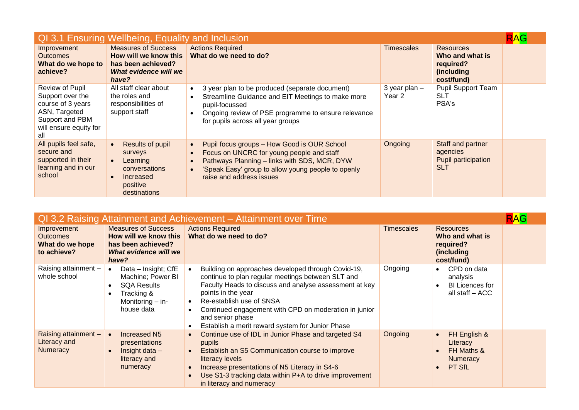| QI 3.1 Ensuring Wellbeing, Equality and Inclusion                                                                             |                                                                                                                |                                                                                                                                                                                                                            |                             |                                                                                      |  |
|-------------------------------------------------------------------------------------------------------------------------------|----------------------------------------------------------------------------------------------------------------|----------------------------------------------------------------------------------------------------------------------------------------------------------------------------------------------------------------------------|-----------------------------|--------------------------------------------------------------------------------------|--|
| Improvement<br><b>Outcomes</b><br>What do we hope to<br>achieve?                                                              | <b>Measures of Success</b><br>How will we know this<br>has been achieved?<br>What evidence will we<br>have?    | <b>Actions Required</b><br>What do we need to do?                                                                                                                                                                          | <b>Timescales</b>           | <b>Resources</b><br>Who and what is<br>required?<br><i>(including)</i><br>cost/fund) |  |
| Review of Pupil<br>Support over the<br>course of 3 years<br>ASN, Targeted<br>Support and PBM<br>will ensure equity for<br>all | All staff clear about<br>the roles and<br>responsibilities of<br>support staff                                 | 3 year plan to be produced (separate document)<br>Streamline Guidance and EIT Meetings to make more<br>pupil-focussed<br>Ongoing review of PSE programme to ensure relevance<br>for pupils across all year groups          | $3$ year plan $-$<br>Year 2 | <b>Pupil Support Team</b><br><b>SLT</b><br>PSA's                                     |  |
| All pupils feel safe,<br>secure and<br>supported in their<br>learning and in our<br>school                                    | Results of pupil<br>surveys<br>Learning<br>$\bullet$<br>conversations<br>Increased<br>positive<br>destinations | Pupil focus groups - How Good is OUR School<br>Focus on UNCRC for young people and staff<br>Pathways Planning - links with SDS, MCR, DYW<br>'Speak Easy' group to allow young people to openly<br>raise and address issues | Ongoing                     | Staff and partner<br>agencies<br>Pupil participation<br><b>SLT</b>                   |  |

| QI 3.2 Raising Attainment and Achievement – Attainment over Time |                                                                                                                             |                                                                                                                                                                                                                                                                                                                                                      |                   |                                                                              |  |
|------------------------------------------------------------------|-----------------------------------------------------------------------------------------------------------------------------|------------------------------------------------------------------------------------------------------------------------------------------------------------------------------------------------------------------------------------------------------------------------------------------------------------------------------------------------------|-------------------|------------------------------------------------------------------------------|--|
| Improvement<br><b>Outcomes</b><br>What do we hope<br>to achieve? | <b>Measures of Success</b><br>How will we know this<br>has been achieved?<br>What evidence will we<br>have?                 | <b>Actions Required</b><br>What do we need to do?                                                                                                                                                                                                                                                                                                    | <b>Timescales</b> | <b>Resources</b><br>Who and what is<br>required?<br>(including<br>cost/fund) |  |
| Raising attainment -<br>whole school                             | Data - Insight; CfE<br>$\bullet$<br>Machine; Power BI<br><b>SQA Results</b><br>Tracking &<br>Monitoring - in-<br>house data | Building on approaches developed through Covid-19,<br>continue to plan regular meetings between SLT and<br>Faculty Heads to discuss and analyse assessment at key<br>points in the year<br>Re-establish use of SNSA<br>Continued engagement with CPD on moderation in junior<br>and senior phase<br>Establish a merit reward system for Junior Phase | Ongoing           | CPD on data<br>analysis<br><b>BI Licences for</b><br>all staff - ACC         |  |
| Raising attainment -<br>Literacy and<br><b>Numeracy</b>          | Increased N5<br>presentations<br>Insight data $-$<br>literacy and<br>numeracy                                               | Continue use of IDL in Junior Phase and targeted S4<br>pupils<br>Establish an S5 Communication course to improve<br>literacy levels<br>Increase presentations of N5 Literacy in S4-6<br>Use S1-3 tracking data within P+A to drive improvement<br>in literacy and numeracy                                                                           | Ongoing           | FH English &<br>Literacy<br>FH Maths &<br>Numeracy<br>PT SfL                 |  |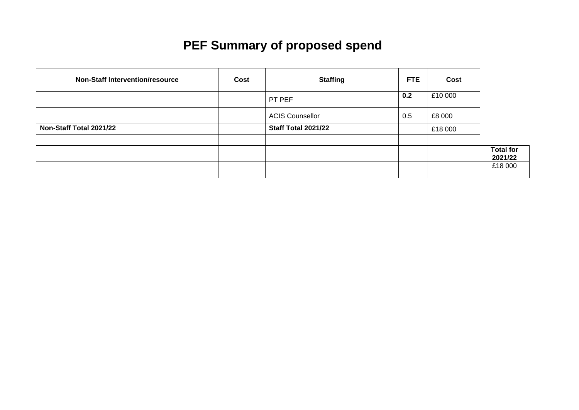# **PEF Summary of proposed spend**

| <b>Non-Staff Intervention/resource</b> | Cost | <b>Staffing</b>        | FTE. | Cost    |                  |
|----------------------------------------|------|------------------------|------|---------|------------------|
|                                        |      | PT PEF                 | 0.2  | £10 000 |                  |
|                                        |      | <b>ACIS Counsellor</b> | 0.5  | £8 000  |                  |
| Non-Staff Total 2021/22                |      | Staff Total 2021/22    |      | £18 000 |                  |
|                                        |      |                        |      |         | <b>Total for</b> |
|                                        |      |                        |      |         | 2021/22          |
|                                        |      |                        |      |         | £18 000          |